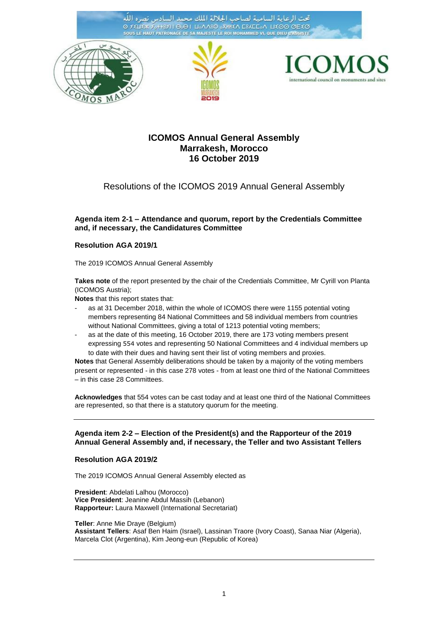تحت الرعاية السامية لصاحب الجلالة الملك محمد الد  $\overline{111}$ Ο ΣΕΠΕΧ ΣΦΗΒΣΤΙ ΘΘΕΙ ΠΟΛΛΒΟ ΟΧΗΝΕΛ ΕΒΛΕΕΟΛΙ ΠΕΘΘΙΘΕΙΕΘΙ SOUS LE HAUT PATRONAGE DE SA MAJESTE LE ROI MOHAMMED VI, QUE DIEU L'







# **ICOMOS Annual General Assembly Marrakesh, Morocco 16 October 2019**

# Resolutions of the ICOMOS 2019 Annual General Assembly

### **Agenda item 2-1 – Attendance and quorum, report by the Credentials Committee and, if necessary, the Candidatures Committee**

#### **Resolution AGA 2019/1**

The 2019 ICOMOS Annual General Assembly

**Takes note** of the report presented by the chair of the Credentials Committee, Mr Cyrill von Planta (ICOMOS Austria);

**Notes** that this report states that:

- as at 31 December 2018, within the whole of ICOMOS there were 1155 potential voting members representing 84 National Committees and 58 individual members from countries without National Committees, giving a total of 1213 potential voting members;
- as at the date of this meeting, 16 October 2019, there are 173 voting members present expressing 554 votes and representing 50 National Committees and 4 individual members up to date with their dues and having sent their list of voting members and proxies.

**Notes** that General Assembly deliberations should be taken by a majority of the voting members present or represented - in this case 278 votes - from at least one third of the National Committees – in this case 28 Committees.

**Acknowledges** that 554 votes can be cast today and at least one third of the National Committees are represented, so that there is a statutory quorum for the meeting.

#### **Agenda item 2-2 – Election of the President(s) and the Rapporteur of the 2019 Annual General Assembly and, if necessary, the Teller and two Assistant Tellers**

#### **Resolution AGA 2019/2**

The 2019 ICOMOS Annual General Assembly elected as

**President**: Abdelati Lalhou (Morocco) **Vice President**: Jeanine Abdul Massih (Lebanon) **Rapporteur:** Laura Maxwell (International Secretariat)

**Teller**: Anne Mie Draye (Belgium) **Assistant Tellers**: Asaf Ben Haim (Israel), Lassinan Traore (Ivory Coast), Sanaa Niar (Algeria), Marcela Clot (Argentina), Kim Jeong-eun (Republic of Korea)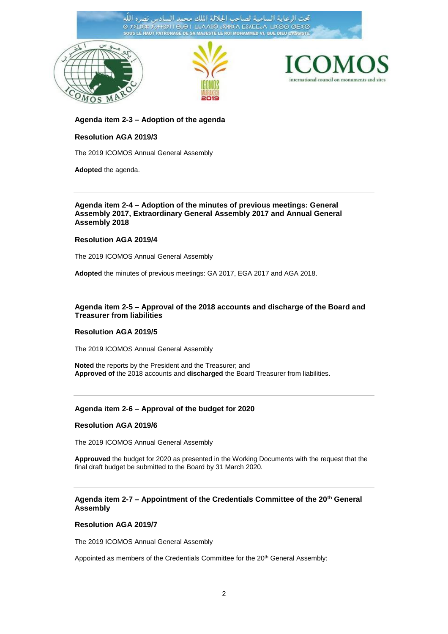اللّه تحت الرعاية السامية لصاحب الجلالة الملك محمد الد بادس نصره O FELIEW FOTBETH LOO | LOANSO OXHIEA ESAEEON LIEOO OEEO SOUS LE HAUT PATRONAGE DE SA MAJESTE LE ROI MOHAMMED VI, QUE DIEU L'AS







#### **Agenda item 2-3 – Adoption of the agenda**

## **Resolution AGA 2019/3**

The 2019 ICOMOS Annual General Assembly

**Adopted** the agenda.

#### **Agenda item 2-4 – Adoption of the minutes of previous meetings: General Assembly 2017, Extraordinary General Assembly 2017 and Annual General Assembly 2018**

#### **Resolution AGA 2019/4**

The 2019 ICOMOS Annual General Assembly

**Adopted** the minutes of previous meetings: GA 2017, EGA 2017 and AGA 2018.

### **Agenda item 2-5 – Approval of the 2018 accounts and discharge of the Board and Treasurer from liabilities**

#### **Resolution AGA 2019/5**

The 2019 ICOMOS Annual General Assembly

**Noted** the reports by the President and the Treasurer; and **Approved of** the 2018 accounts and **discharged** the Board Treasurer from liabilities.

## **Agenda item 2-6 – Approval of the budget for 2020**

#### **Resolution AGA 2019/6**

The 2019 ICOMOS Annual General Assembly

**Approuved** the budget for 2020 as presented in the Working Documents with the request that the final draft budget be submitted to the Board by 31 March 2020.

## **Agenda item 2-7 – Appointment of the Credentials Committee of the 20th General Assembly**

### **Resolution AGA 2019/7**

The 2019 ICOMOS Annual General Assembly

Appointed as members of the Credentials Committee for the 20<sup>th</sup> General Assembly: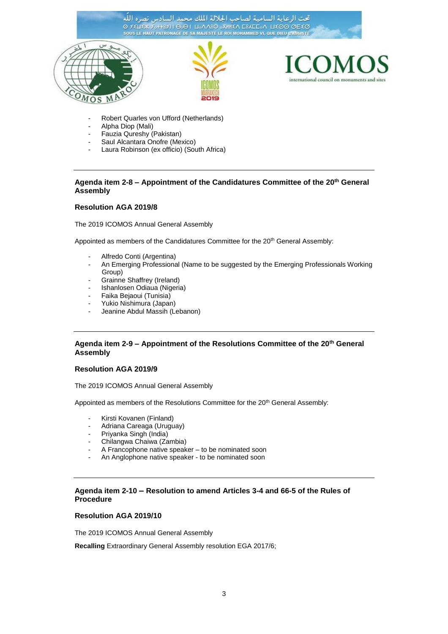تحت الرعاية السامية لصاحب الجلالة الملك محمد السادس نصره الله Ο ΣΕΠΕΧ ΣΦΗΡΙΣΤΙ ΘΩΘΙ ΠΡΑΛΙΟΡΣΝΙΚΑ ΕΒΥΕΕΡΥ ΠΕΘΘ ΘΕΙΟ SOUS LE HAUT PATRONAGE DE SA MAJESTE LE ROI MOHAMMED VI, QUE DIEU L'AS

international council on monuments and sites

- Robert Quarles von Ufford (Netherlands)
- Alpha Diop (Mali)

 $\mathbf{S}$ M

- Fauzia Qureshy (Pakistan)
- Saul Alcantara Onofre (Mexico)
- Laura Robinson (ex officio) (South Africa)

## **Agenda item 2-8 – Appointment of the Candidatures Committee of the 20th General Assembly**

#### **Resolution AGA 2019/8**

The 2019 ICOMOS Annual General Assembly

Appointed as members of the Candidatures Committee for the 20<sup>th</sup> General Assembly:

- Alfredo Conti (Argentina)
- An Emerging Professional (Name to be suggested by the Emerging Professionals Working Group)
- Grainne Shaffrey (Ireland)
- Ishanlosen Odiaua (Nigeria)
- Faika Bejaoui (Tunisia)
- Yukio Nishimura (Japan)
- Jeanine Abdul Massih (Lebanon)

### **Agenda item 2-9 – Appointment of the Resolutions Committee of the 20th General Assembly**

## **Resolution AGA 2019/9**

The 2019 ICOMOS Annual General Assembly

Appointed as members of the Resolutions Committee for the 20<sup>th</sup> General Assembly:

- Kirsti Kovanen (Finland)
- Adriana Careaga (Uruguay)
- Priyanka Singh (India)
- Chilangwa Chaiwa (Zambia)
- A Francophone native speaker to be nominated soon
- An Anglophone native speaker to be nominated soon

### **Agenda item 2-10 – Resolution to amend Articles 3-4 and 66-5 of the Rules of Procedure**

#### **Resolution AGA 2019/10**

The 2019 ICOMOS Annual General Assembly

**Recalling** Extraordinary General Assembly resolution EGA 2017/6;